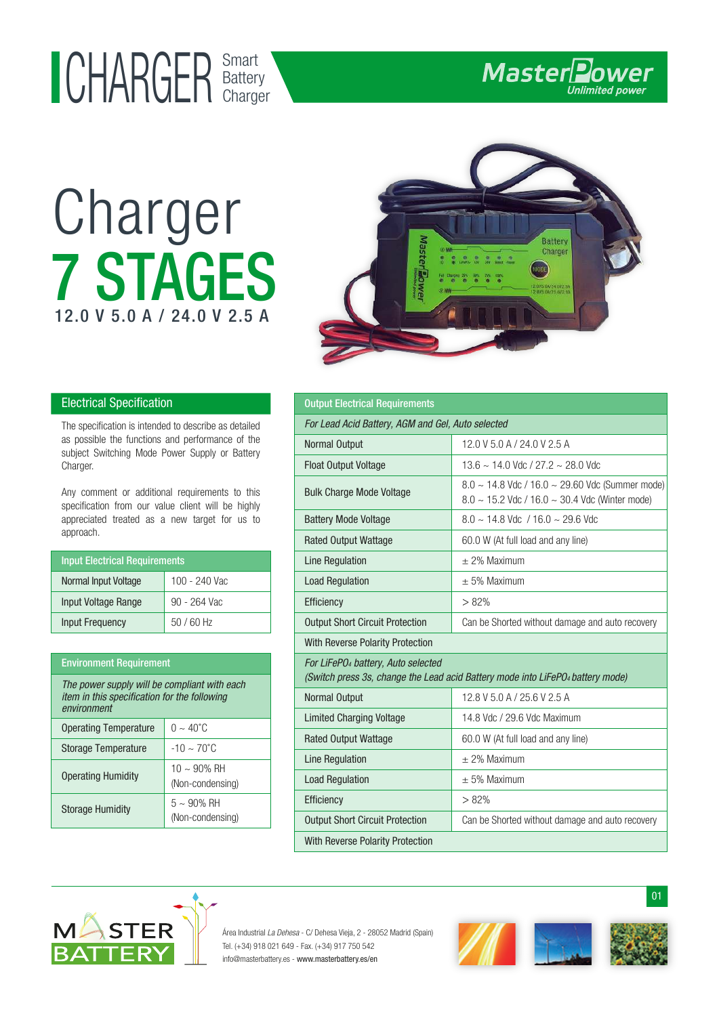# Smart UHAKULK Battery

Charger

7 STAGES

12.0 V 5.0 A / 24.0 V 2.5 A



Master**Power** 

### **Electrical Specification**

The specification is intended to describe as detailed as possible the functions and performance of the subject Switching Mode Power Supply or Battery Charger.

Any comment or additional requirements to this specification from our value client will be highly appreciated treated as a new target for us to approach.

| <b>Input Electrical Requirements</b> |               |
|--------------------------------------|---------------|
| Normal Input Voltage                 | 100 - 240 Vac |
| Input Voltage Range                  | 90 - 264 Vac  |
| <b>Input Frequency</b>               | $50/60$ Hz    |

#### Environment Requirement

| The power supply will be compliant with each<br>item in this specification for the following<br>environment |                                               |
|-------------------------------------------------------------------------------------------------------------|-----------------------------------------------|
| <b>Operating Temperature</b>                                                                                | $0 \sim 40^{\circ}$ C                         |
| Storage Temperature                                                                                         | $-10 \sim 70^{\circ}$ C                       |
| <b>Operating Humidity</b>                                                                                   | $10 \sim 90\% \text{ RH}$<br>(Non-condensing) |
| <b>Storage Humidity</b>                                                                                     | $5 \sim 90\% \text{ RH}$<br>(Non-condensing)  |

#### Normal Output Limited Charging Voltage 12.8 V 5.0 A / 25.6 V 2.5 A 14.8 Vdc / 29.6 Vdc Maximum For LiFePO4 battery, Auto selected (Switch press 3s, change the Lead acid Battery mode into LiFePO4 battery mode) Rated Output Wattage Line Regulation Output Short Circuit Protection 60.0 W (At full load and any line) ± 2% Maximum Load Regulation  $\vert + 5\%$  Maximum Can be Shorted without damage and auto recovery Efficiency  $\vert > 82\%$ Output Electrical Requirements Normal Output Float Output Voltage Bulk Charge Mode Voltage 12.0 V 5.0 A / 24.0 V 2.5 A 8.0 ~ 14.8 Vdc / 16.0 ~ 29.60 Vdc (Summer mode) 8.0 ~ 15.2 Vdc / 16.0 ~ 30.4 Vdc (Winter mode) Battery Mode Voltage Rated Output Wattage Line Regulation Output Short Circuit Protection 8.0 ~ 14.8 Vdc / 16.0 ~ 29.6 Vdc 60.0 W (At full load and any line) ± 2% Maximum **Load Regulation**  $\pm$  5% Maximum Can be Shorted without damage and auto recovery 13.6 ~ 14.0 Vdc / 27.2 ~ 28.0 Vdc For Lead Acid Battery, AGM and Gel, Auto selected Efficiency 282% With Reverse Polarity Protection With Reverse Polarity Protection



Área Industrial La Dehesa - C/ Dehesa Vieja, 2 - 28052 Madrid (Spain) Tel. (+34) 918 021 649 - Fax. (+34) 917 750 542 info@masterbattery.es - www.masterbattery.es/en



01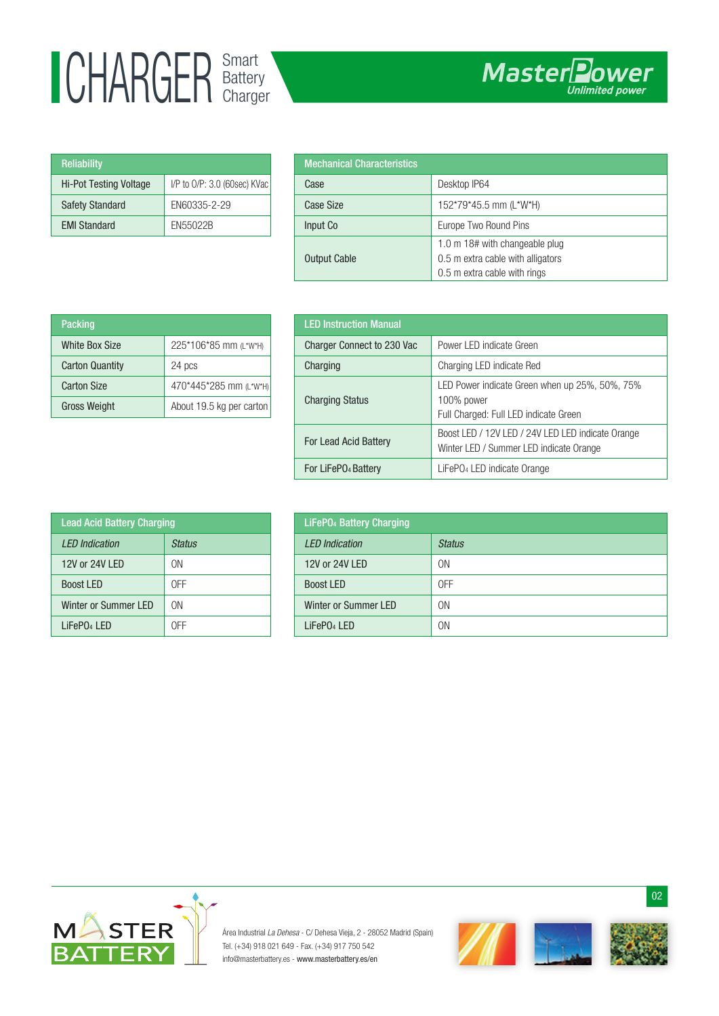## Smart UHAKULK Battery

| <b>Reliability</b>            |                                   |
|-------------------------------|-----------------------------------|
| <b>Hi-Pot Testing Voltage</b> | $I/P$ to $O/P$ : 3.0 (60sec) KVac |
| <b>Safety Standard</b>        | EN60335-2-29                      |
| <b>EMI Standard</b>           | EN55022B                          |

| <b>Mechanical Characteristics</b> |                                                                                                     |
|-----------------------------------|-----------------------------------------------------------------------------------------------------|
| Case                              | Desktop IP64                                                                                        |
| Case Size                         | 152*79*45.5 mm (L*W*H)                                                                              |
| Input Co                          | Europe Two Round Pins                                                                               |
| <b>Output Cable</b>               | 1.0 m 18# with changeable plug<br>0.5 m extra cable with alligators<br>0.5 m extra cable with rings |

| Packing                |                          |
|------------------------|--------------------------|
| White Box Size         | 225*106*85 mm (L*W*H)    |
| <b>Carton Quantity</b> | 24 pcs                   |
| <b>Carton Size</b>     | 470*445*285 mm (L*W*H)   |
| <b>Gross Weight</b>    | About 19.5 kg per carton |

| <b>LED Instruction Manual</b>   |                                                                                                       |
|---------------------------------|-------------------------------------------------------------------------------------------------------|
| Charger Connect to 230 Vac      | Power LED indicate Green                                                                              |
| Charging                        | Charging LED indicate Red                                                                             |
| <b>Charging Status</b>          | LED Power indicate Green when up 25%, 50%, 75%<br>100% power<br>Full Charged: Full LED indicate Green |
| For Lead Acid Battery           | Boost LED / 12V LED / 24V LED LED indicate Orange<br>Winter LED / Summer LED indicate Orange          |
| For LiFePO <sub>4</sub> Battery | LiFePO <sub>4</sub> LED indicate Orange                                                               |

| <b>Lead Acid Battery Charging</b> |        |
|-----------------------------------|--------|
| <b>IFD</b> Indication             | Status |
| 12V or 24V LFD                    | ΟN     |
| <b>Boost LED</b>                  | 0FF    |
| <b>Winter or Summer LED</b>       | ΩN     |
| LiFePO <sub>4</sub> LED           | NEE    |

| <b>LiFePO<sub>4</sub></b> Battery Charging |                |
|--------------------------------------------|----------------|
| <b>LED</b> Indication                      | <b>Status</b>  |
| 12V or 24V LED                             | 0 <sub>N</sub> |
| <b>Boost LED</b>                           | 0FF            |
| Winter or Summer LED                       | 0N             |
| LiFePO <sub>4</sub> LED                    | 0N             |



Área Industrial La Dehesa - C/ Dehesa Vieja, 2 - 28052 Madrid (Spain) Tel. (+34) 918 021 649 - Fax. (+34) 917 750 542 info@masterbattery.es - www.masterbattery.es/en